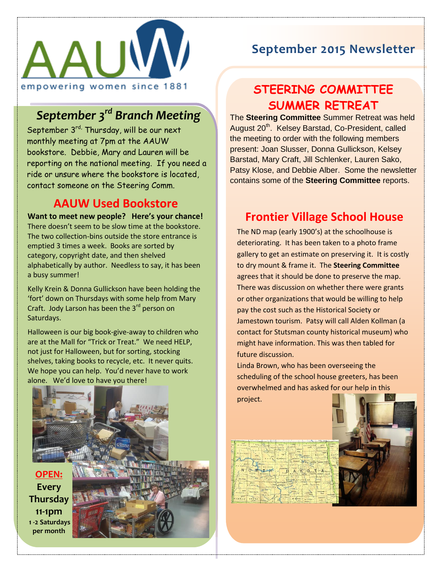

# *September 3rd Branch Meeting*

September 3<sup>rd,</sup> Thursday, will be our next monthly meeting at 7pm at the AAUW bookstore. Debbie, Mary and Lauren will be reporting on the national meeting. If you need a ride or unsure where the bookstore is located, contact someone on the Steering Comm.

#### **AAUW Used Bookstore**

**Want to meet new people? Here's your chance!** There doesn't seem to be slow time at the bookstore. The two collection-bins outside the store entrance is emptied 3 times a week. Books are sorted by category, copyright date, and then shelved alphabetically by author. Needless to say, it has been a busy summer!

Kelly Krein & Donna Gullickson have been holding the 'fort' down on Thursdays with some help from Mary Craft. Jody Larson has been the 3<sup>rd</sup> person on Saturdays.

Halloween is our big book-give-away to children who are at the Mall for "Trick or Treat." We need HELP, not just for Halloween, but for sorting, stocking shelves, taking books to recycle, etc. It never quits. We hope you can help. You'd never have to work alone. We'd love to have you there!



### **September 2015 Newsletter**

## **STEERING COMMITTEE SUMMER RETREAT**

The **Steering Committee** Summer Retreat was held August 20<sup>th</sup>. Kelsey Barstad, Co-President, called the meeting to order with the following members present: Joan Slusser, Donna Gullickson, Kelsey Barstad, Mary Craft, Jill Schlenker, Lauren Sako, Patsy Klose, and Debbie Alber. Some the newsletter contains some of the **Steering Committee** reports.

### **Frontier Village School House**

 to dry mount & frame it. The **Steering Committee** The ND map (early 1900's) at the schoolhouse is deteriorating. It has been taken to a photo frame gallery to get an estimate on preserving it. It is costly agrees that it should be done to preserve the map. There was discussion on whether there were grants or other organizations that would be willing to help pay the cost such as the Historical Society or Jamestown tourism. Patsy will call Alden Kollman (a contact for Stutsman county historical museum) who might have information. This was then tabled for future discussion.

Linda Brown, who has been overseeing the scheduling of the school house greeters, has been overwhelmed and has asked for our help in this project.